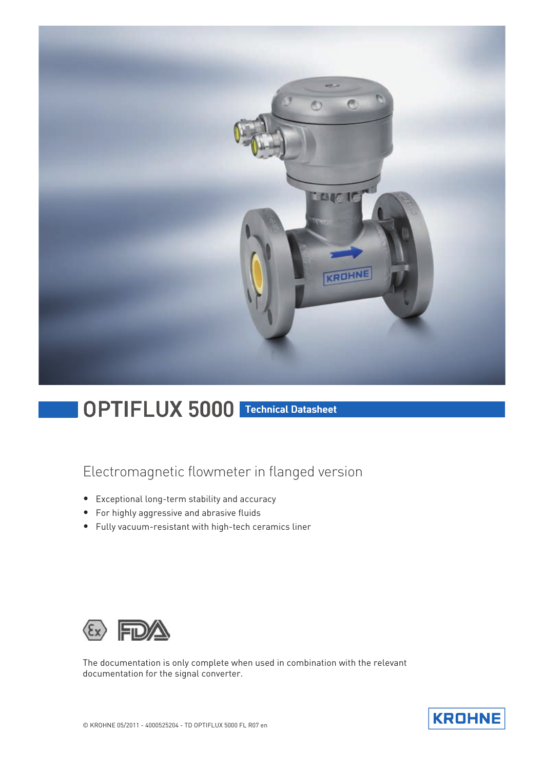

# OPTIFLUX 5000 Technical Datasheet

## Electromagnetic flowmeter in flanged version

- Exceptional long-term stability and accuracy
- For highly aggressive and abrasive fluids
- Fully vacuum-resistant with high-tech ceramics liner



The documentation is only complete when used in combination with the relevant documentation for the signal converter.

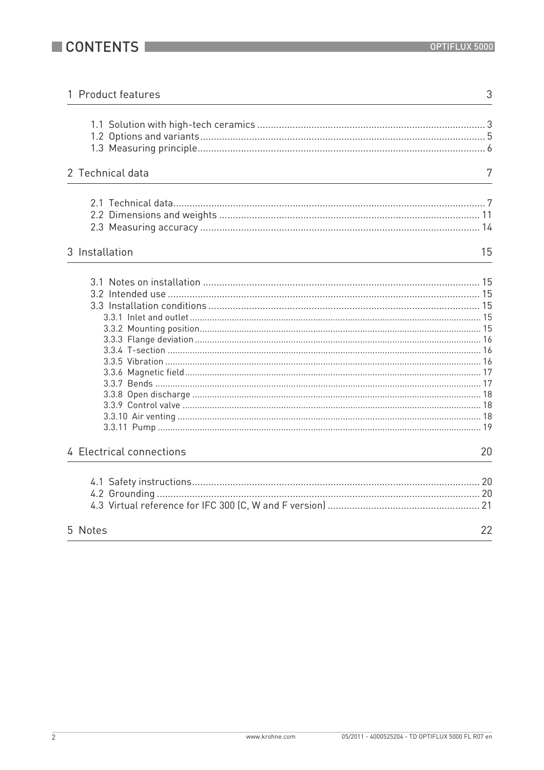

| 1 Product features       | 3  |
|--------------------------|----|
|                          |    |
| 2 Technical data         | 7  |
|                          |    |
| 3 Installation           | 15 |
|                          |    |
| 4 Electrical connections | 20 |
|                          |    |
| 5 Notes                  | 22 |

 $\overline{2}$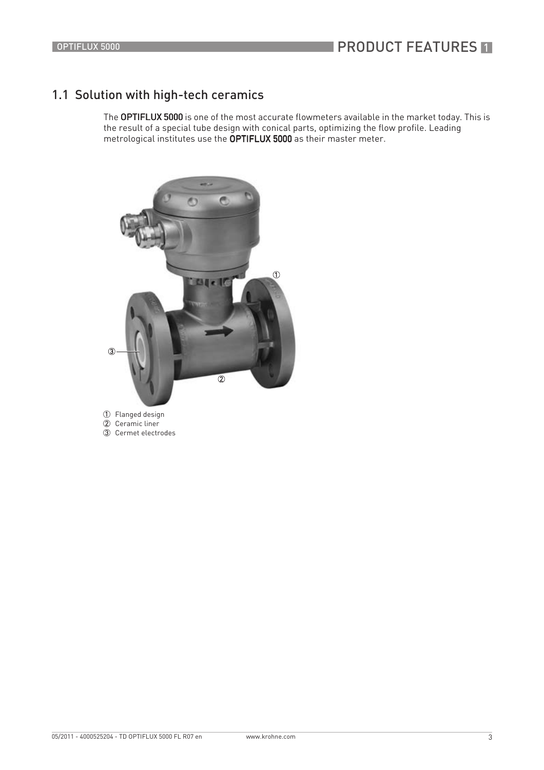## 1.1 Solution with high-tech ceramics

The OPTIFLUX 5000 is one of the most accurate flowmeters available in the market today. This is the result of a special tube design with conical parts, optimizing the flow profile. Leading metrological institutes use the OPTIFLUX 5000 as their master meter.

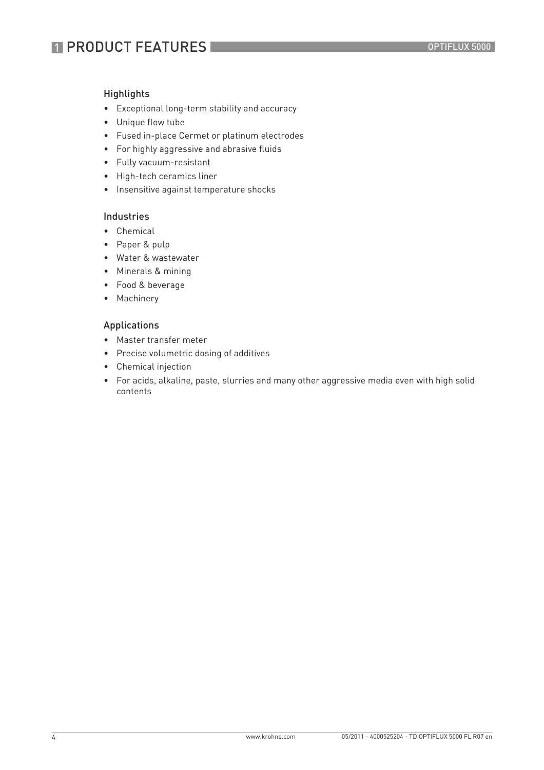#### **Highlights**

- Exceptional long-term stability and accuracy
- Unique flow tube
- Fused in-place Cermet or platinum electrodes
- For highly aggressive and abrasive fluids
- Fully vacuum-resistant
- High-tech ceramics liner
- Insensitive against temperature shocks

#### Industries

- Chemical
- Paper & pulp
- Water & wastewater
- Minerals & mining
- Food & beverage
- Machinery

#### Applications

- Master transfer meter
- Precise volumetric dosing of additives
- Chemical injection
- For acids, alkaline, paste, slurries and many other aggressive media even with high solid contents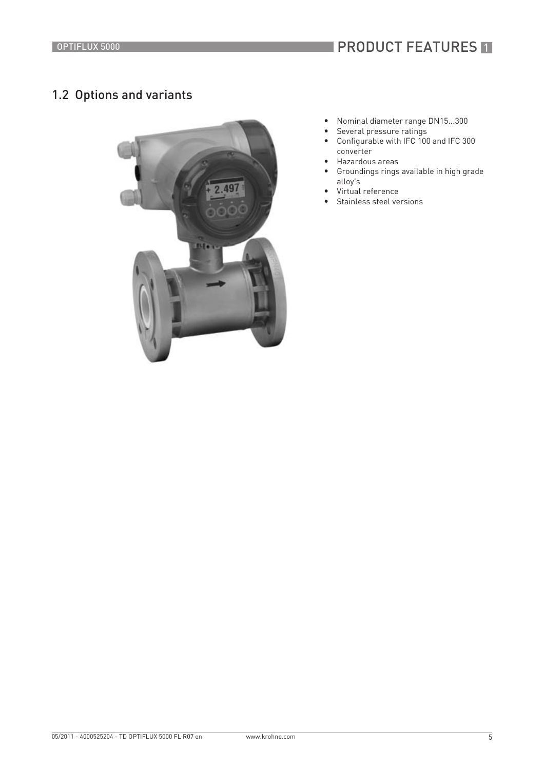## 1.2 Options and variants



- Nominal diameter range DN15...300
- Several pressure ratings
- Configurable with IFC 100 and IFC 300 converter
- Hazardous areas
- Groundings rings available in high grade alloy's
- Virtual reference
- Stainless steel versions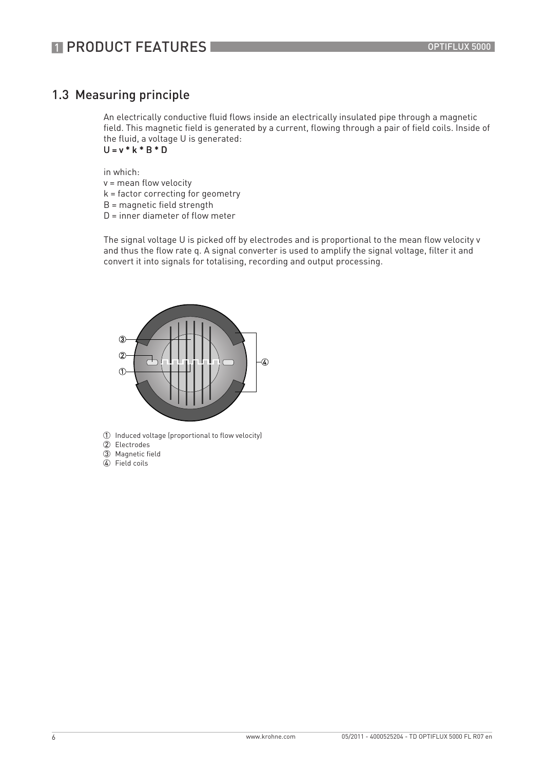## 1.3 Measuring principle

An electrically conductive fluid flows inside an electrically insulated pipe through a magnetic field. This magnetic field is generated by a current, flowing through a pair of field coils. Inside of the fluid, a voltage U is generated:  $U = v * k * B * D$ 

in which: v = mean flow velocity

k = factor correcting for geometry

B = magnetic field strength

D = inner diameter of flow meter

The signal voltage U is picked off by electrodes and is proportional to the mean flow velocity v and thus the flow rate q. A signal converter is used to amplify the signal voltage, filter it and convert it into signals for totalising, recording and output processing.



- 1 Induced voltage (proportional to flow velocity)
- 2 Electrodes
- 3 Magnetic field
- $\overline{4}$  Field coils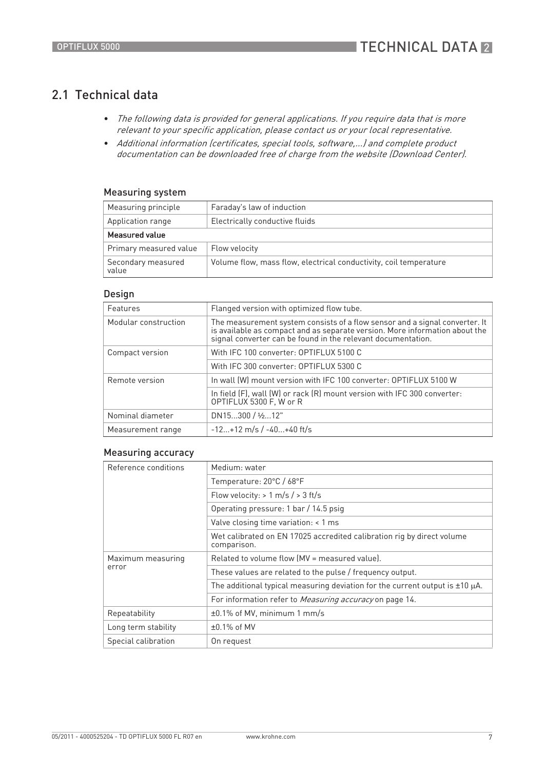## 2.1 Technical data

- The following data is provided for general applications. If you require data that is more relevant to your specific application, please contact us or your local representative.
- Additional information (certificates, special tools, software,...) and complete product documentation can be downloaded free of charge from the website (Download Center).

#### Measuring system

| Measuring principle         | Faraday's law of induction                                        |  |  |
|-----------------------------|-------------------------------------------------------------------|--|--|
| Application range           | Electrically conductive fluids                                    |  |  |
| <b>Measured value</b>       |                                                                   |  |  |
| Primary measured value      | Flow velocity                                                     |  |  |
| Secondary measured<br>value | Volume flow, mass flow, electrical conductivity, coil temperature |  |  |

#### Design

| Features             | Flanged version with optimized flow tube.                                                                                                                                                                                  |  |
|----------------------|----------------------------------------------------------------------------------------------------------------------------------------------------------------------------------------------------------------------------|--|
| Modular construction | The measurement system consists of a flow sensor and a signal converter. It<br>is available as compact and as separate version. More information about the<br>signal converter can be found in the relevant documentation. |  |
| Compact version      | With IFC 100 converter: OPTIFLUX 5100 C                                                                                                                                                                                    |  |
|                      | With IFC 300 converter: OPTIFLUX 5300 C                                                                                                                                                                                    |  |
| Remote version       | In wall (W) mount version with IFC 100 converter: OPTIFLUX 5100 W                                                                                                                                                          |  |
|                      | In field $(F)$ , wall $(W)$ or rack $(R)$ mount version with IFC 300 converter:<br>OPTIFLUX 5300 F, W or R                                                                                                                 |  |
| Nominal diameter     | DN15300 / 1/212"                                                                                                                                                                                                           |  |
| Measurement range    | $-12+12$ m/s / $-40+40$ ft/s                                                                                                                                                                                               |  |

#### Measuring accuracy

| Reference conditions | Medium: water                                                                         |
|----------------------|---------------------------------------------------------------------------------------|
|                      | Temperature: 20°C / 68°F                                                              |
|                      | Flow velocity: $> 1 \text{ m/s}$ / $> 3 \text{ ft/s}$                                 |
|                      | Operating pressure: 1 bar / 14.5 psig                                                 |
|                      | Valve closing time variation: < 1 ms                                                  |
|                      | Wet calibrated on EN 17025 accredited calibration rig by direct volume<br>comparison. |
| Maximum measuring    | Related to volume flow (MV = measured value).                                         |
| error                | These values are related to the pulse / frequency output.                             |
|                      | The additional typical measuring deviation for the current output is $\pm 10 \mu A$ . |
|                      | For information refer to <i>Measuring accuracy</i> on page 14.                        |
| Repeatability        | ±0.1% of MV, minimum 1 mm/s                                                           |
| Long term stability  | $\pm 0.1\%$ of MV                                                                     |
| Special calibration  | On request                                                                            |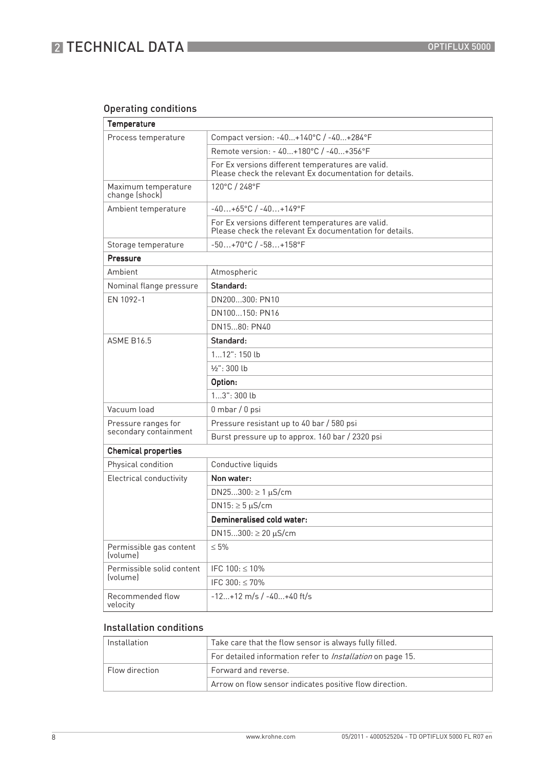## **2 TECHNICAL DATA**

### Operating conditions

| <b>Temperature</b>                    |                                                                                                              |  |  |
|---------------------------------------|--------------------------------------------------------------------------------------------------------------|--|--|
| Process temperature                   | Compact version: -40+140°C / -40+284°F                                                                       |  |  |
|                                       | Remote version: - 40+180°C / -40+356°F                                                                       |  |  |
|                                       | For Ex versions different temperatures are valid.<br>Please check the relevant Ex documentation for details. |  |  |
| Maximum temperature<br>change (shock) | 120°C / 248°F                                                                                                |  |  |
| Ambient temperature                   | -40+65°C / -40+149°F                                                                                         |  |  |
|                                       | For Ex versions different temperatures are valid.<br>Please check the relevant Ex documentation for details. |  |  |
| Storage temperature                   | $-50+70°C$ / $-58+158°C$                                                                                     |  |  |
| Pressure                              |                                                                                                              |  |  |
| Ambient                               | Atmospheric                                                                                                  |  |  |
| Nominal flange pressure               | Standard:                                                                                                    |  |  |
| EN 1092-1                             | DN200300: PN10                                                                                               |  |  |
|                                       | DN100  150 · PN16                                                                                            |  |  |
|                                       | DN1580: PN40                                                                                                 |  |  |
| <b>ASMF R16.5</b>                     | Standard:                                                                                                    |  |  |
|                                       | 112" : 150 lb                                                                                                |  |  |
|                                       | 1/ <sub>2</sub> ": 300 lb                                                                                    |  |  |
|                                       | Option:                                                                                                      |  |  |
|                                       | $13"$ : 300 lb                                                                                               |  |  |
| Vacuum load                           | $0$ mbar / $0$ psi                                                                                           |  |  |
| Pressure ranges for                   | Pressure resistant up to 40 bar / 580 psi                                                                    |  |  |
| secondary containment                 | Burst pressure up to approx. 160 bar / 2320 psi                                                              |  |  |
| <b>Chemical properties</b>            |                                                                                                              |  |  |
| Physical condition                    | Conductive liquids                                                                                           |  |  |
| Electrical conductivity               | Non water:                                                                                                   |  |  |
|                                       | DN25300: ≥ 1 µS/cm                                                                                           |  |  |
|                                       | DN15: $\geq$ 5 µS/cm                                                                                         |  |  |
|                                       | Demineralised cold water:                                                                                    |  |  |
|                                       | DN15300: $\geq$ 20 µS/cm                                                                                     |  |  |
| Permissible gas content<br>(volume)   | $\leq 5\%$                                                                                                   |  |  |
| Permissible solid content             | IFC 100: ≤ 10%                                                                                               |  |  |
| (volume)                              | IFC 300: $\leq$ 70%                                                                                          |  |  |
| Recommended flow<br>velocity          | $-12+12$ m/s / $-40+40$ ft/s                                                                                 |  |  |

#### Installation conditions

| Installation   | Take care that the flow sensor is always fully filled.            |  |  |
|----------------|-------------------------------------------------------------------|--|--|
|                | For detailed information refer to <i>Installation</i> on page 15. |  |  |
| Flow direction | Forward and reverse.                                              |  |  |
|                | Arrow on flow sensor indicates positive flow direction.           |  |  |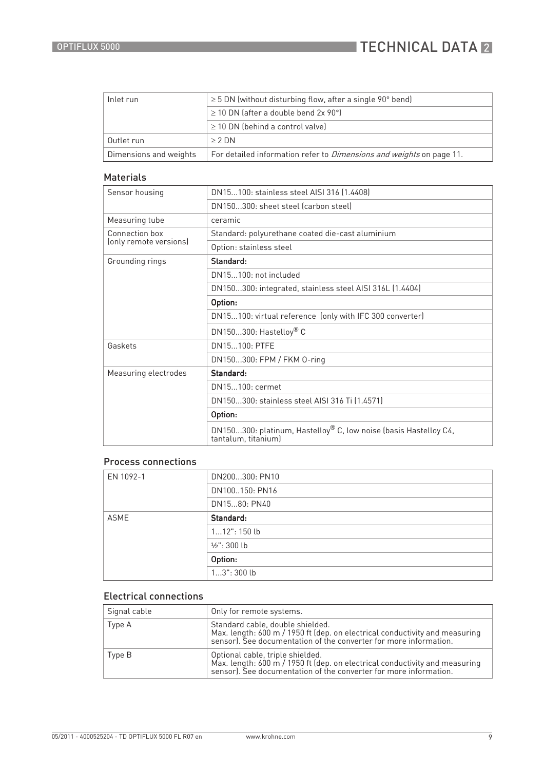| Inlet run              | $\geq$ 5 DN (without disturbing flow, after a single 90° bend)              |  |  |
|------------------------|-----------------------------------------------------------------------------|--|--|
|                        | $\geq$ 10 DN (after a double bend 2x 90°)                                   |  |  |
|                        | $\geq$ 10 DN (behind a control valve)                                       |  |  |
| Outlet run             | $> 2 \text{ DN}$                                                            |  |  |
| Dimensions and weights | For detailed information refer to <i>Dimensions and weights</i> on page 11. |  |  |

#### Materials

| Sensor housing         | DN15100: stainless steel AISI 316 [1.4408]                                              |  |  |
|------------------------|-----------------------------------------------------------------------------------------|--|--|
|                        | DN150300: sheet steel (carbon steel)                                                    |  |  |
| Measuring tube         | ceramic                                                                                 |  |  |
| Connection box         | Standard: polyurethane coated die-cast aluminium                                        |  |  |
| (only remote versions) | Option: stainless steel                                                                 |  |  |
| Grounding rings        | Standard:                                                                               |  |  |
|                        | DN15100: not included                                                                   |  |  |
|                        | DN150300: integrated, stainless steel AISI 316L (1.4404)                                |  |  |
|                        | Option:                                                                                 |  |  |
|                        | DN15100: virtual reference (only with IFC 300 converter)                                |  |  |
|                        | DN150300: Hastelloy® C                                                                  |  |  |
| Gaskets                | DN15100: PTFE                                                                           |  |  |
|                        | DN150300: FPM / FKM 0-ring                                                              |  |  |
| Measuring electrodes   | Standard:                                                                               |  |  |
|                        | DN15100: cermet                                                                         |  |  |
|                        | DN150300: stainless steel AISI 316 Ti (1.4571)                                          |  |  |
|                        | Option:                                                                                 |  |  |
|                        | DN150300: platinum, Hastelloy® C, low noise (basis Hastelloy C4,<br>tantalum, titanium) |  |  |

#### Process connections

| EN 1092-1 | DN200300: PN10          |
|-----------|-------------------------|
|           | DN100150: PN16          |
|           | DN1580: PN40            |
| ASME      | Standard:               |
|           | $112"$ : 150 lb         |
|           | $\frac{1}{2}$ ": 300 lb |
|           | Option:                 |
|           | $13"$ : 300 lb          |

#### Electrical connections

| Signal cable | Only for remote systems.                                                                                                                                                             |
|--------------|--------------------------------------------------------------------------------------------------------------------------------------------------------------------------------------|
| Type A       | Standard cable, double shielded.<br>Max. length: 600 m / 1950 ft (dep. on electrical conductivity and measuring<br>sensor). See documentation of the converter for more information. |
| Type B       | Optional cable, triple shielded.<br>Max. length: 600 m / 1950 ft (dep. on electrical conductivity and measuring<br>sensor). See documentation of the converter for more information. |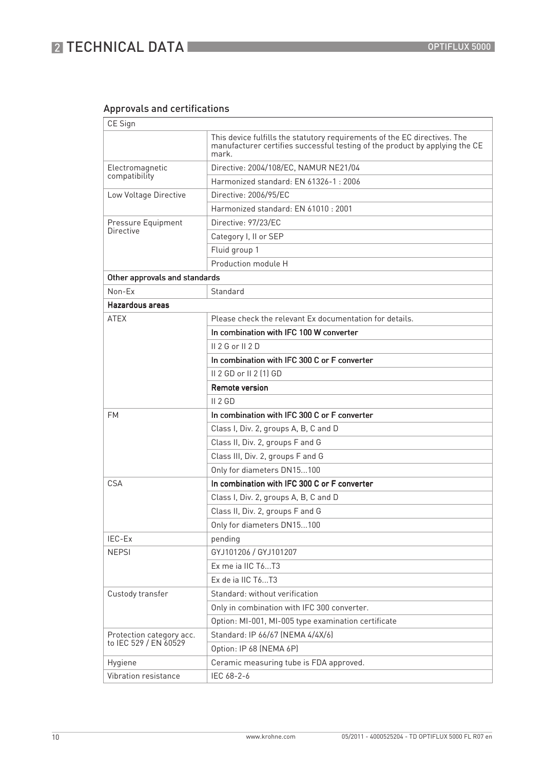## **2 TECHNICAL DATA**

## Approvals and certifications

| CE Sign                       |                                                                                                                                                                   |  |  |
|-------------------------------|-------------------------------------------------------------------------------------------------------------------------------------------------------------------|--|--|
|                               | This device fulfills the statutory requirements of the EC directives. The<br>manufacturer certifies successful testing of the product by applying the CE<br>mark. |  |  |
| Electromagnetic               | Directive: 2004/108/EC, NAMUR NE21/04                                                                                                                             |  |  |
| compatibility                 | Harmonized standard: EN 61326-1: 2006                                                                                                                             |  |  |
| Low Voltage Directive         | Directive: 2006/95/EC                                                                                                                                             |  |  |
|                               | Harmonized standard: EN 61010: 2001                                                                                                                               |  |  |
| Pressure Equipment            | Directive: 97/23/EC                                                                                                                                               |  |  |
| <b>Directive</b>              | Category I, II or SEP                                                                                                                                             |  |  |
|                               | Fluid group 1                                                                                                                                                     |  |  |
|                               | Production module H                                                                                                                                               |  |  |
| Other approvals and standards |                                                                                                                                                                   |  |  |
| Non-Ex                        | Standard                                                                                                                                                          |  |  |
| <b>Hazardous areas</b>        |                                                                                                                                                                   |  |  |
| ATEX                          | Please check the relevant Ex documentation for details.                                                                                                           |  |  |
|                               | In combination with IFC 100 W converter                                                                                                                           |  |  |
|                               | II 2 G or II 2 D                                                                                                                                                  |  |  |
|                               | In combination with IFC 300 C or F converter                                                                                                                      |  |  |
|                               | II 2 GD or II 2 (1) GD                                                                                                                                            |  |  |
|                               | <b>Remote version</b>                                                                                                                                             |  |  |
|                               | II 2 GD                                                                                                                                                           |  |  |
| <b>FM</b>                     | In combination with IFC 300 C or F converter                                                                                                                      |  |  |
|                               | Class I, Div. 2, groups A, B, C and D                                                                                                                             |  |  |
|                               | Class II, Div. 2, groups F and G                                                                                                                                  |  |  |
|                               | Class III, Div. 2, groups F and G                                                                                                                                 |  |  |
|                               | Only for diameters DN15100                                                                                                                                        |  |  |
| <b>CSA</b>                    | In combination with IFC 300 C or F converter                                                                                                                      |  |  |
|                               | Class I, Div. 2, groups A, B, C and D                                                                                                                             |  |  |
|                               | Class II, Div. 2, groups F and G                                                                                                                                  |  |  |
|                               |                                                                                                                                                                   |  |  |
|                               | Only for diameters DN15100                                                                                                                                        |  |  |
| IEC-Ex                        | pending                                                                                                                                                           |  |  |
| <b>NEPSI</b>                  | GYJ101206 / GYJ101207                                                                                                                                             |  |  |
|                               | Ex me ja IIC T6T3                                                                                                                                                 |  |  |
|                               | Ex de ia IIC T6T3                                                                                                                                                 |  |  |
| Custody transfer              | Standard: without verification                                                                                                                                    |  |  |
|                               | Only in combination with IFC 300 converter.                                                                                                                       |  |  |
|                               | Option: MI-001, MI-005 type examination certificate                                                                                                               |  |  |
| Protection category acc.      | Standard: IP 66/67 (NEMA 4/4X/6)                                                                                                                                  |  |  |
| to IEC 529 / EN 60529         | Option: IP 68 (NEMA 6P)                                                                                                                                           |  |  |
| Hygiene                       | Ceramic measuring tube is FDA approved.                                                                                                                           |  |  |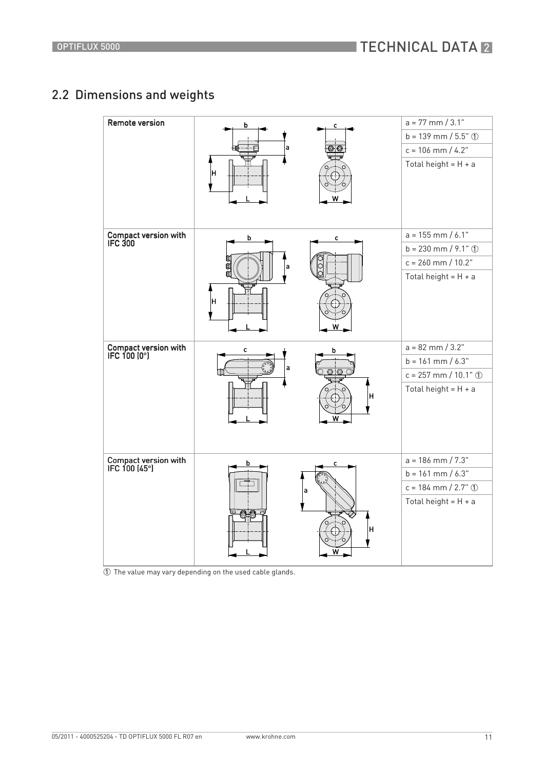## 2.2 Dimensions and weights

| <b>Remote version</b>                                  | b<br>a<br>Iн      | c                                                    | $a = 77$ mm $/ 3.1"$<br>$b = 139$ mm / $5.5$ " ①<br>$c = 106$ mm $/ 4.2$ "<br>Total height = $H + a$ |
|--------------------------------------------------------|-------------------|------------------------------------------------------|------------------------------------------------------------------------------------------------------|
| Compact version with<br>IFC 300                        | b<br>Ō<br>a<br>Iн | $\overline{c}$                                       | $a = 155$ mm / 6.1"<br>$b = 230$ mm / 9.1" ①<br>$c = 260$ mm / $10.2$ "<br>Total height = $H + a$    |
| <b>Compact version with</b><br>$IFC$ 100 $[0^{\circ}]$ | C<br>a            | b<br>$\overline{\circ}$ $\overline{\circ}$<br>Η<br>W | $a = 82$ mm $/ 3.2"$<br>$b = 161$ mm $/ 6.3"$<br>$c = 257$ mm / 10.1" ①<br>Total height = $H + a$    |
| Compact version with<br>IFC 100 (45°)                  |                   | a<br>н<br>w                                          | $a = 186$ mm $/ 7.3"$<br>$b = 161$ mm $/ 6.3"$<br>$c = 184$ mm / 2.7" ①<br>Total height = $H + a$    |

1 The value may vary depending on the used cable glands.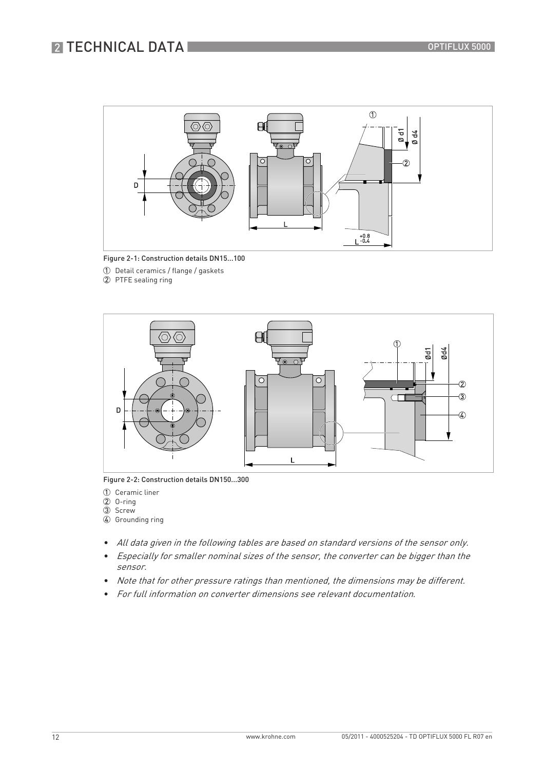## **2 TECHNICAL DATA**



Figure 2-1: Construction details DN15...100

1 Detail ceramics / flange / gaskets

2 PTFE sealing ring



Figure 2-2: Construction details DN150...300

- 1 Ceramic liner
- $(2)$  O-ring
- 3 Screw
- $\overline{4}$  Grounding ring
- All data given in the following tables are based on standard versions of the sensor only.
- Especially for smaller nominal sizes of the sensor, the converter can be bigger than the sensor.
- Note that for other pressure ratings than mentioned, the dimensions may be different.
- For full information on converter dimensions see relevant documentation.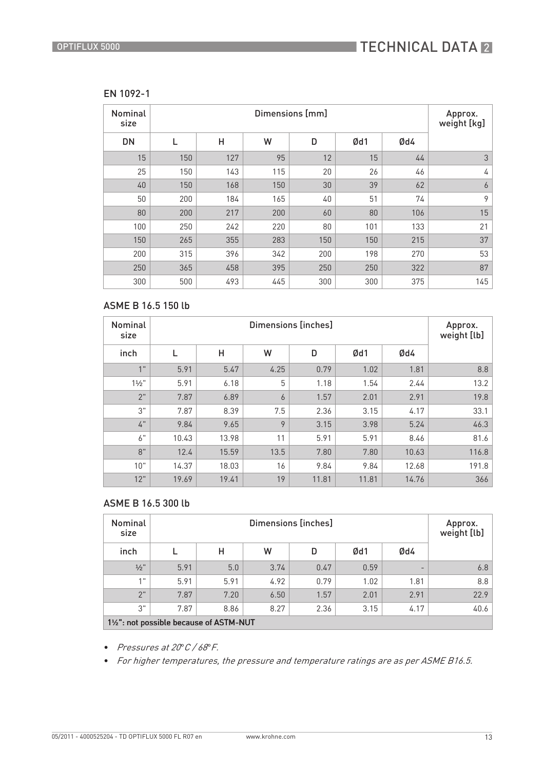#### EN 1092-1

| Nominal<br>size |     |     |     | Dimensions [mm] |     |     | Approx.<br>weight [kg] |
|-----------------|-----|-----|-----|-----------------|-----|-----|------------------------|
| <b>DN</b>       |     | H   | W   | D               | Ød1 | Ød4 |                        |
| 15              | 150 | 127 | 95  | 12              | 15  | 44  | 3                      |
| 25              | 150 | 143 | 115 | 20              | 26  | 46  | 4                      |
| 40              | 150 | 168 | 150 | 30              | 39  | 62  | 6                      |
| 50              | 200 | 184 | 165 | 40              | 51  | 74  | 9                      |
| 80              | 200 | 217 | 200 | 60              | 80  | 106 | 15                     |
| 100             | 250 | 242 | 220 | 80              | 101 | 133 | 21                     |
| 150             | 265 | 355 | 283 | 150             | 150 | 215 | 37                     |
| 200             | 315 | 396 | 342 | 200             | 198 | 270 | 53                     |
| 250             | 365 | 458 | 395 | 250             | 250 | 322 | 87                     |
| 300             | 500 | 493 | 445 | 300             | 300 | 375 | 145                    |

#### ASME B 16.5 150 lb

| <b>Nominal</b><br>size |       |       |      | Dimensions [inches] |       |       | Approx.<br>weight [lb] |
|------------------------|-------|-------|------|---------------------|-------|-------|------------------------|
| inch                   |       | Η     | W    | D                   | Ød1   | Ød4   |                        |
| 1"                     | 5.91  | 5.47  | 4.25 | 0.79                | 1.02  | 1.81  | 8.8                    |
| $1\frac{1}{2}$ "       | 5.91  | 6.18  | 5    | 1.18                | 1.54  | 2.44  | 13.2                   |
| 2"                     | 7.87  | 6.89  | 6    | 1.57                | 2.01  | 2.91  | 19.8                   |
| 3"                     | 7.87  | 8.39  | 7.5  | 2.36                | 3.15  | 4.17  | 33.1                   |
| 4"                     | 9.84  | 9.65  | 9    | 3.15                | 3.98  | 5.24  | 46.3                   |
| $6"$                   | 10.43 | 13.98 | 11   | 5.91                | 5.91  | 8.46  | 81.6                   |
| 8"                     | 12.4  | 15.59 | 13.5 | 7.80                | 7.80  | 10.63 | 116.8                  |
| 10"                    | 14.37 | 18.03 | 16   | 9.84                | 9.84  | 12.68 | 191.8                  |
| 12"                    | 19.69 | 19.41 | 19   | 11.81               | 11.81 | 14.76 | 366                    |

#### ASME B 16.5 300 lb

| Nominal<br>size |                                         | Dimensions [inches] |      |      |      |                   |      |  |  |  |  |  |  |  |  |  |
|-----------------|-----------------------------------------|---------------------|------|------|------|-------------------|------|--|--|--|--|--|--|--|--|--|
| inch            |                                         | н                   | W    | D    | Ød1  | Ød4               |      |  |  |  |  |  |  |  |  |  |
| $\frac{1}{2}$ " | 5.91                                    | 5.0                 | 3.74 | 0.47 | 0.59 | $\qquad \qquad -$ | 6.8  |  |  |  |  |  |  |  |  |  |
| 111             | 5.91                                    | 5.91                | 4.92 | 0.79 | 1.02 | 1.81              | 8.8  |  |  |  |  |  |  |  |  |  |
| 2"              | 7.87                                    | 7.20                | 6.50 | 1.57 | 2.01 | 2.91              | 22.9 |  |  |  |  |  |  |  |  |  |
| 3"              | 7.87                                    | 8.86                | 8.27 | 2.36 | 3.15 | 4.17              | 40.6 |  |  |  |  |  |  |  |  |  |
|                 | 11/2": not possible because of ASTM-NUT |                     |      |      |      |                   |      |  |  |  |  |  |  |  |  |  |

• Pressures at 20*°*C / 68*°*F.

• For higher temperatures, the pressure and temperature ratings are as per ASME B16.5.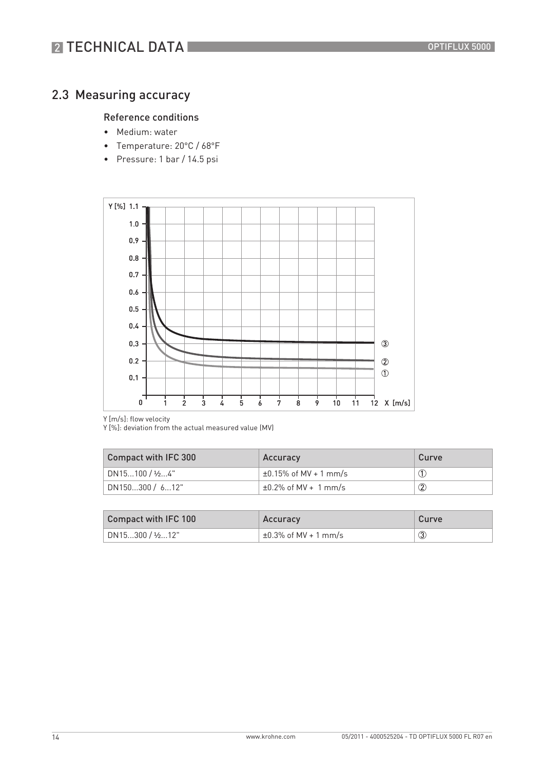## **2 TECHNICAL DATA**

## 2.3 Measuring accuracy

#### Reference conditions

- Medium: water
- Temperature: 20°C / 68°F
- Pressure: 1 bar / 14.5 psi



Y [m/s]: flow velocity

Y [%]: deviation from the actual measured value (MV)

| Compact with IFC 300 | Accuracy                   | Curve             |
|----------------------|----------------------------|-------------------|
| DN15100 / ½4"        | $±0.15\%$ of MV + 1 mm/s   |                   |
| DN150300 / 612"      | $\pm 0.2\%$ of MV + 1 mm/s | $^\mathrm{\odot}$ |

| Compact with IFC 100 | Accuracy                   | Curve         |
|----------------------|----------------------------|---------------|
| DN15…300 / ½…12"     | $\pm 0.3\%$ of MV + 1 mm/s | $\circled{3}$ |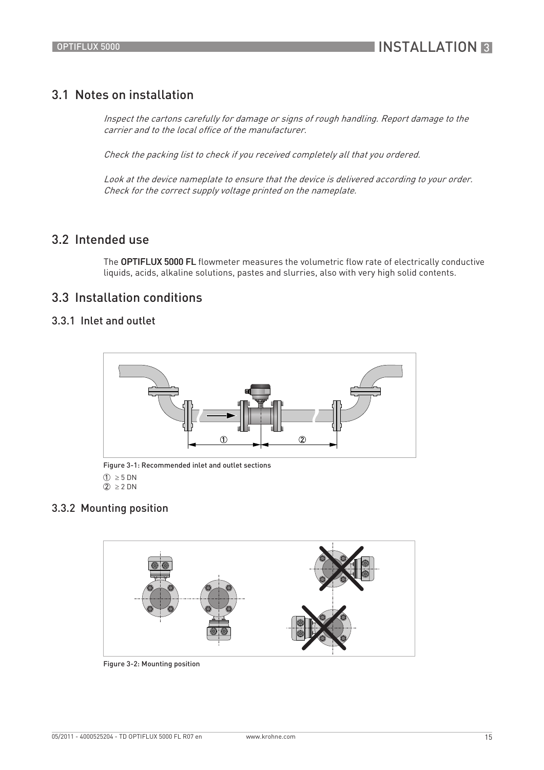## 3.1 Notes on installation

Inspect the cartons carefully for damage or signs of rough handling. Report damage to the carrier and to the local office of the manufacturer.

Check the packing list to check if you received completely all that you ordered.

Look at the device nameplate to ensure that the device is delivered according to your order. Check for the correct supply voltage printed on the nameplate.

### 3.2 Intended use

The OPTIFLUX 5000 FL flowmeter measures the volumetric flow rate of electrically conductive liquids, acids, alkaline solutions, pastes and slurries, also with very high solid contents.

## 3.3 Installation conditions

#### 3.3.1 Inlet and outlet



Figure 3-1: Recommended inlet and outlet sections  $\textcircled{1} \geq 5 \text{ DN}$  $\overline{2}$  ≥ 2 DN

#### 3.3.2 Mounting position



Figure 3-2: Mounting position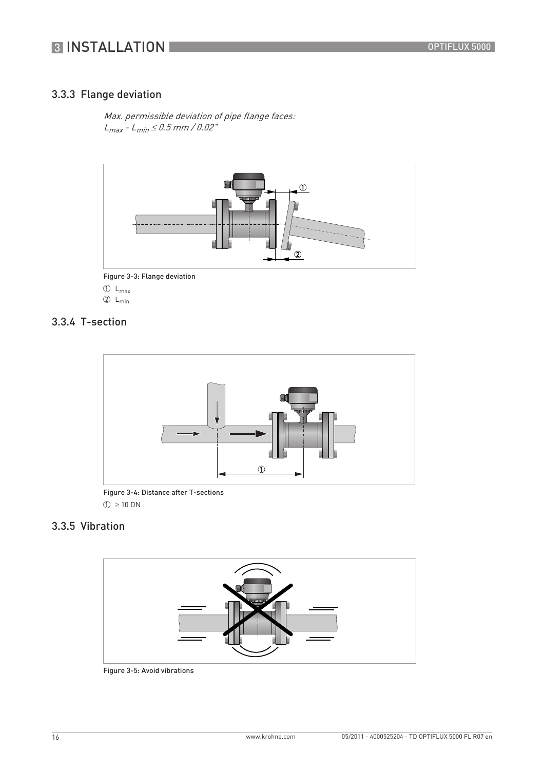## **3 INSTALLATION**

### 3.3.3 Flange deviation

Max. permissible deviation of pipe flange faces:  $L_{max} - L_{min} \le 0.5$  mm / 0.02"



Figure 3-3: Flange deviation

 $\mathbb{O}$  L<sub>max</sub>

2 Lmin

### 3.3.4 T-section



Figure 3-4: Distance after T-sections  $\textcircled{1} \geq 10 \text{ DN}$ 

### 3.3.5 Vibration



Figure 3-5: Avoid vibrations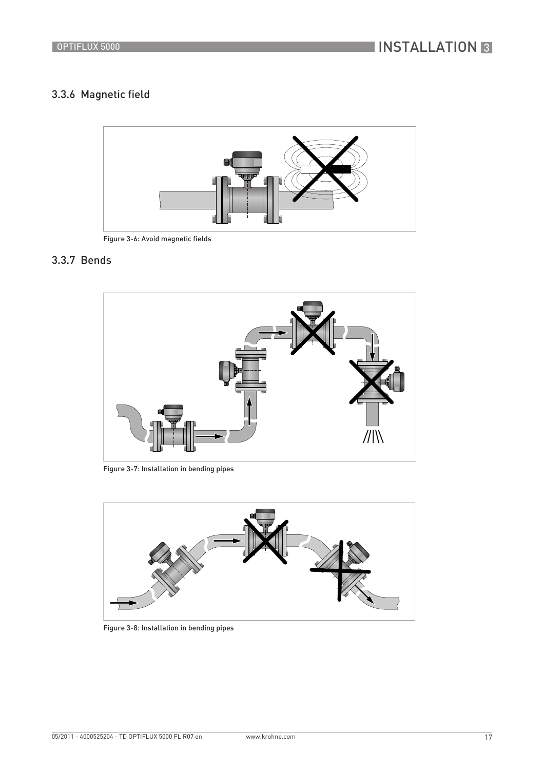## 3.3.6 Magnetic field



Figure 3-6: Avoid magnetic fields

### 3.3.7 Bends



Figure 3-7: Installation in bending pipes



Figure 3-8: Installation in bending pipes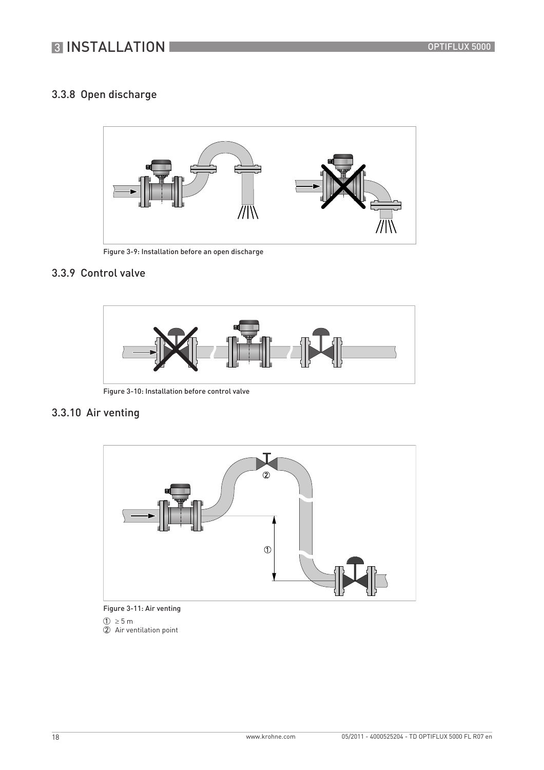### 3.3.8 Open discharge



Figure 3-9: Installation before an open discharge

## 3.3.9 Control valve



Figure 3-10: Installation before control valve

## 3.3.10 Air venting



Figure 3-11: Air venting  $\circled{1}$  ≥ 5 m 2 Air ventilation point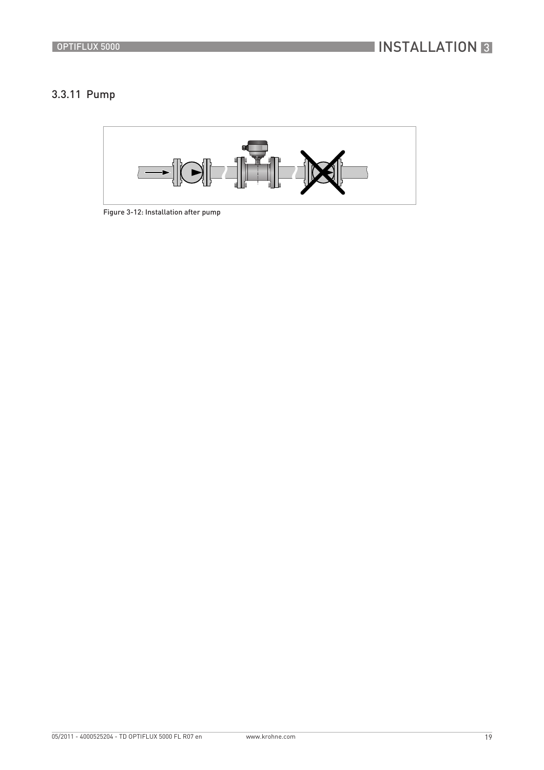### 3.3.11 Pump



Figure 3-12: Installation after pump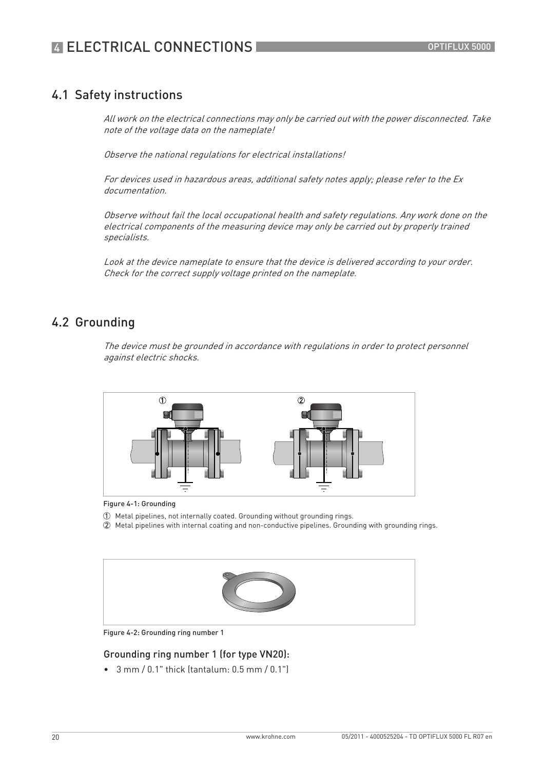## 4.1 Safety instructions

All work on the electrical connections may only be carried out with the power disconnected. Take note of the voltage data on the nameplate!

Observe the national regulations for electrical installations!

For devices used in hazardous areas, additional safety notes apply; please refer to the Ex documentation.

Observe without fail the local occupational health and safety regulations. Any work done on the electrical components of the measuring device may only be carried out by properly trained specialists.

Look at the device nameplate to ensure that the device is delivered according to your order. Check for the correct supply voltage printed on the nameplate.

### 4.2 Grounding

The device must be grounded in accordance with regulations in order to protect personnel against electric shocks.





- 1 Metal pipelines, not internally coated. Grounding without grounding rings.
- 2 Metal pipelines with internal coating and non-conductive pipelines. Grounding with grounding rings.



Figure 4-2: Grounding ring number 1

#### Grounding ring number 1 (for type VN20):

• 3 mm / 0.1" thick (tantalum: 0.5 mm / 0.1")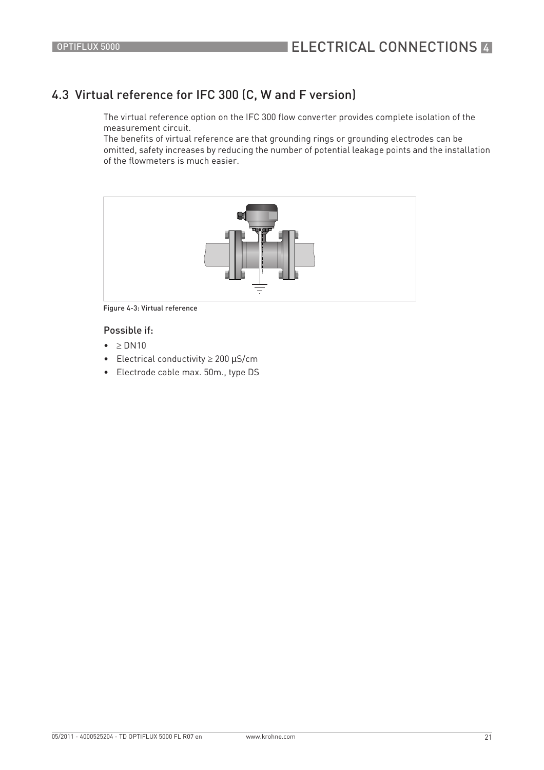## 4.3 Virtual reference for IFC 300 (C, W and F version)

The virtual reference option on the IFC 300 flow converter provides complete isolation of the measurement circuit.

The benefits of virtual reference are that grounding rings or grounding electrodes can be omitted, safety increases by reducing the number of potential leakage points and the installation of the flowmeters is much easier.



Figure 4-3: Virtual reference

## Possible if:

- $\bullet$   $\geq$  DN10
- Electrical conductivity ≥ 200 µS/cm
- Electrode cable max. 50m., type DS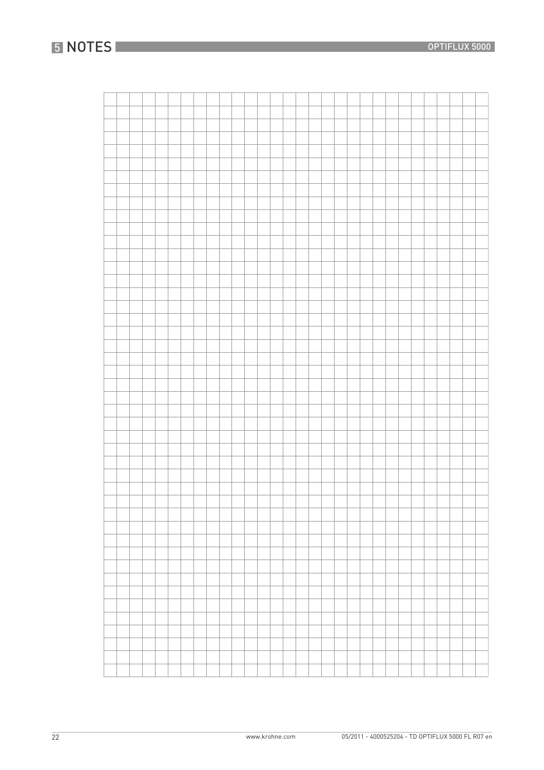22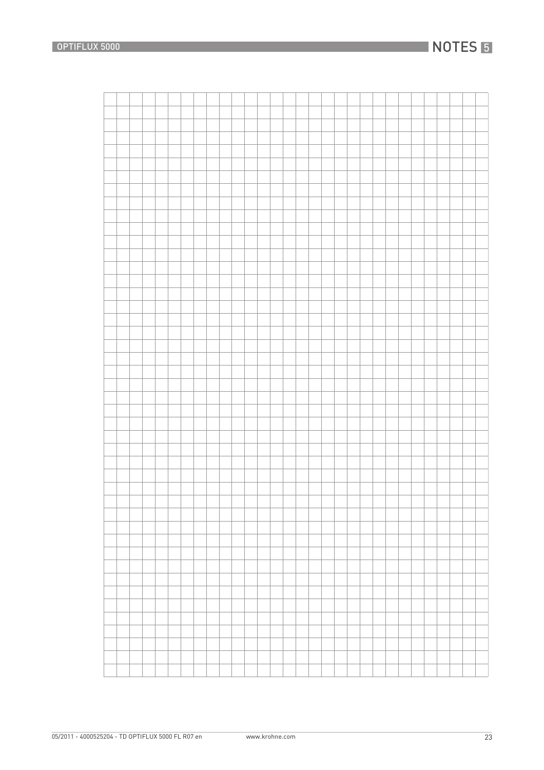## **NOTES 5**